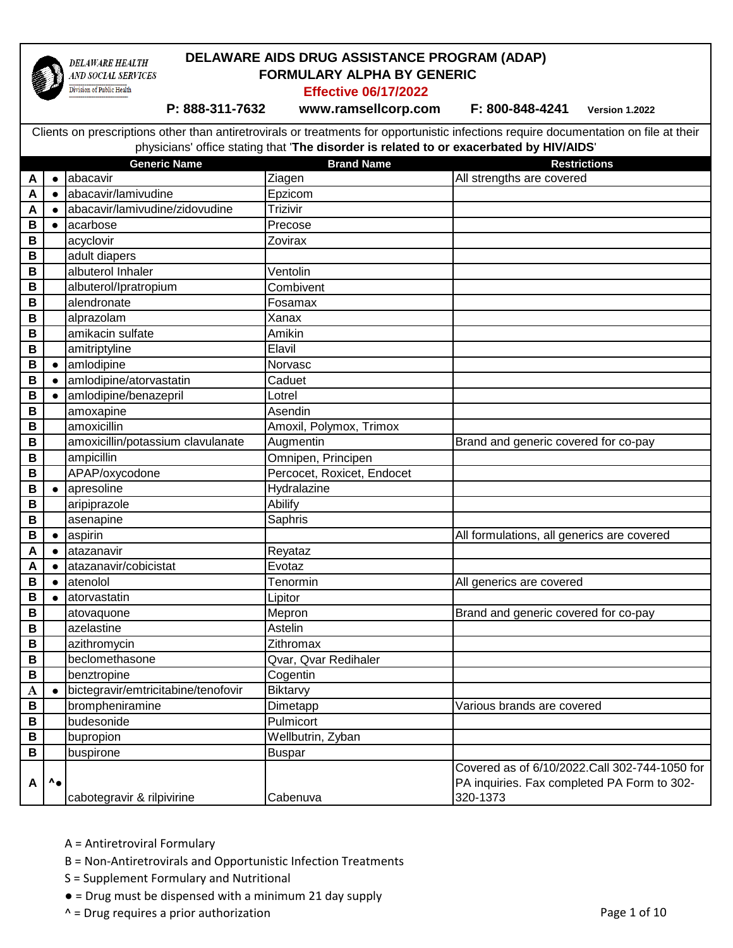

#### **DELAWARE AIDS DRUG ASSISTANCE PROGRAM (ADAP) DELAWARE HEALTH FORMULARY ALPHA BY GENERIC**  AND SOCIAL SERVICES Division of Public Health

**Effective 06/17/2022**

 **P: 888-311-7632 www.ramsellcorp.com F: 800-848-4241 Version 1.2022** 

|             |                        | <b>Generic Name</b>                 | <b>Brand Name</b>          | <b>Restrictions</b>                           |
|-------------|------------------------|-------------------------------------|----------------------------|-----------------------------------------------|
| A           | $\bullet$              | abacavir                            | Ziagen                     | All strengths are covered                     |
| A           | $\bullet$              | abacavir/lamivudine                 | Epzicom                    |                                               |
| A           |                        | abacavir/lamivudine/zidovudine      | Trizivir                   |                                               |
| B           |                        | acarbose                            | Precose                    |                                               |
| $\mathsf B$ |                        | acyclovir                           | Zovirax                    |                                               |
| B           |                        | adult diapers                       |                            |                                               |
| B           |                        | albuterol Inhaler                   | Ventolin                   |                                               |
| $\mathbf B$ |                        | albuterol/Ipratropium               | Combivent                  |                                               |
| В           |                        | alendronate                         | Fosamax                    |                                               |
| B           |                        | alprazolam                          | Xanax                      |                                               |
| B           |                        | amikacin sulfate                    | Amikin                     |                                               |
| B           |                        | amitriptyline                       | Elavil                     |                                               |
| B           | $\bullet$              | amlodipine                          | Norvasc                    |                                               |
| B           | $\bullet$              | amlodipine/atorvastatin             | Caduet                     |                                               |
| B           |                        | amlodipine/benazepril               | Lotrel                     |                                               |
| B           |                        | amoxapine                           | Asendin                    |                                               |
| B           |                        | amoxicillin                         | Amoxil, Polymox, Trimox    |                                               |
| B           |                        | amoxicillin/potassium clavulanate   | Augmentin                  | Brand and generic covered for co-pay          |
| B           |                        | ampicillin                          | Omnipen, Principen         |                                               |
| $\mathsf B$ |                        | APAP/oxycodone                      | Percocet, Roxicet, Endocet |                                               |
| B           | $\bullet$              | apresoline                          | Hydralazine                |                                               |
| B           |                        | aripiprazole                        | Abilify                    |                                               |
| $\mathsf B$ |                        | asenapine                           | Saphris                    |                                               |
| B           | $\epsilon$             | aspirin                             |                            | All formulations, all generics are covered    |
| A           | $\bullet$              | atazanavir                          | Reyataz                    |                                               |
| Α           |                        | atazanavir/cobicistat               | Evotaz                     |                                               |
| B           |                        | atenolol                            | Tenormin                   | All generics are covered                      |
| B           |                        | atorvastatin                        | Lipitor                    |                                               |
| B           |                        | atovaquone                          | Mepron                     | Brand and generic covered for co-pay          |
| B           |                        | azelastine                          | Astelin                    |                                               |
| В           |                        | azithromycin                        | Zithromax                  |                                               |
| $\mathsf B$ |                        | beclomethasone                      | Qvar, Qvar Redihaler       |                                               |
| B           |                        | benztropine                         | Cogentin                   |                                               |
| $\mathbf A$ |                        | bictegravir/emtricitabine/tenofovir | <b>Biktarvy</b>            |                                               |
| В           |                        | brompheniramine                     | Dimetapp                   | Various brands are covered                    |
| В           |                        | budesonide                          | Pulmicort                  |                                               |
| B           |                        | bupropion                           | Wellbutrin, Zyban          |                                               |
| B           |                        | buspirone                           | <b>Buspar</b>              |                                               |
|             |                        |                                     |                            | Covered as of 6/10/2022.Call 302-744-1050 for |
| A           | $\mathbf{A}_{\bullet}$ |                                     |                            | PA inquiries. Fax completed PA Form to 302-   |
|             |                        | cabotegravir & rilpivirine          | Cabenuva                   | 320-1373                                      |

- A = Antiretroviral Formulary
- B = Non-Antiretrovirals and Opportunistic Infection Treatments
- S = Supplement Formulary and Nutritional
- = Drug must be dispensed with a minimum 21 day supply
- $\wedge$  = Drug requires a prior authorization  $\wedge$  =  $\wedge$  Page 1 of 10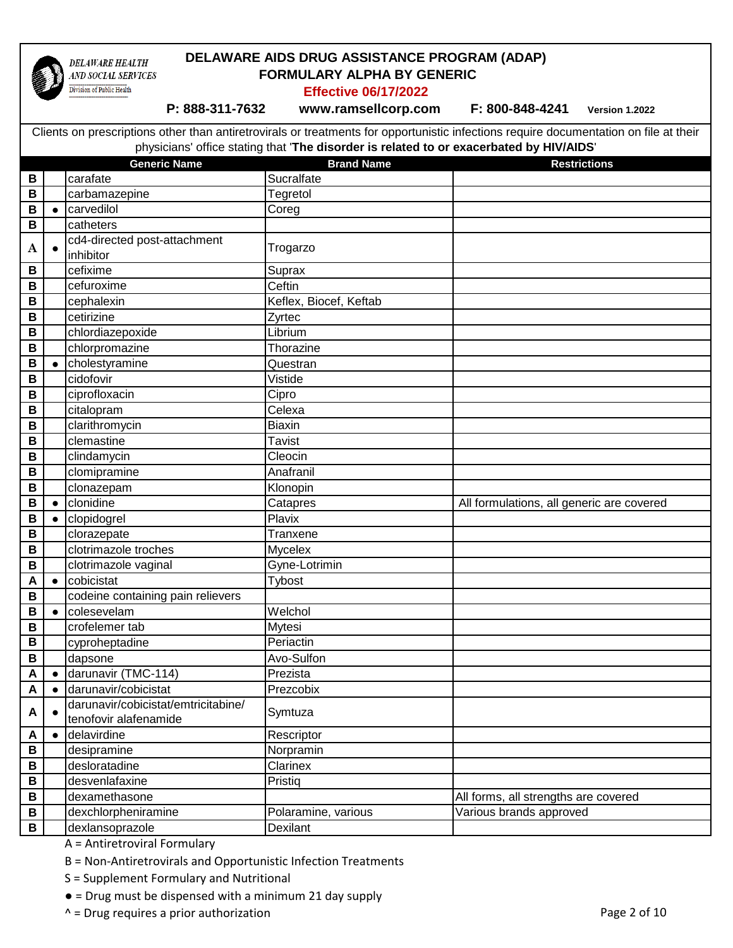

### **DELAWARE AIDS DRUG ASSISTANCE PROGRAM (ADAP) FORMULARY ALPHA BY GENERIC**

**Effective 06/17/2022**

 **P: 888-311-7632 www.ramsellcorp.com F: 800-848-4241 Version 1.2022** 

Clients on prescriptions other than antiretrovirals or treatments for opportunistic infections require documentation on file at their physicians' office stating that '**The disorder is related to or exacerbated by HIV/AIDS**'

|                         |           | <b>Generic Name</b>                 | <b>Brand Name</b>      | <b>Restrictions</b>                       |
|-------------------------|-----------|-------------------------------------|------------------------|-------------------------------------------|
| В                       |           | carafate                            | Sucralfate             |                                           |
| B                       |           | carbamazepine                       | Tegretol               |                                           |
| B                       |           | carvedilol                          | Coreg                  |                                           |
| B                       |           | catheters                           |                        |                                           |
|                         |           | cd4-directed post-attachment        |                        |                                           |
| A                       |           | inhibitor                           | Trogarzo               |                                           |
| B                       |           | cefixime                            | Suprax                 |                                           |
| $\, {\bf B}$            |           | cefuroxime                          | Ceftin                 |                                           |
| B                       |           | cephalexin                          | Keflex, Biocef, Keftab |                                           |
| B                       |           | cetirizine                          | Zyrtec                 |                                           |
| $\, {\bf B}$            |           | chlordiazepoxide                    | Librium                |                                           |
| B                       |           | chlorpromazine                      | Thorazine              |                                           |
| B                       |           | cholestyramine                      | Questran               |                                           |
| B                       |           | cidofovir                           | Vistide                |                                           |
| B                       |           | ciprofloxacin                       | Cipro                  |                                           |
| В                       |           | citalopram                          | Celexa                 |                                           |
| B                       |           | clarithromycin                      | Biaxin                 |                                           |
| B                       |           | clemastine                          | <b>Tavist</b>          |                                           |
| B                       |           | clindamycin                         | Cleocin                |                                           |
| B                       |           | clomipramine                        | Anafranil              |                                           |
| B                       |           | clonazepam                          | Klonopin               |                                           |
| B                       |           | clonidine                           | Catapres               | All formulations, all generic are covered |
| B                       |           | clopidogrel                         | Plavix                 |                                           |
| B                       |           | clorazepate                         | Tranxene               |                                           |
| B                       |           | clotrimazole troches                | Mycelex                |                                           |
| B                       |           | clotrimazole vaginal                | Gyne-Lotrimin          |                                           |
| A                       |           | cobicistat                          | Tybost                 |                                           |
| B                       |           | codeine containing pain relievers   |                        |                                           |
| В                       |           | colesevelam                         | Welchol                |                                           |
| B                       |           | crofelemer tab                      | Mytesi                 |                                           |
| B                       |           | cyproheptadine                      | Periactin              |                                           |
| B                       |           | dapsone                             | Avo-Sulfon             |                                           |
| $\overline{\mathsf{A}}$ | $\bullet$ | darunavir (TMC-114)                 | Prezista               |                                           |
| $\pmb{\mathsf{A}}$      |           | darunavir/cobicistat                | Prezcobix              |                                           |
| A                       |           | darunavir/cobicistat/emtricitabine/ | Symtuza                |                                           |
|                         |           | tenofovir alafenamide               |                        |                                           |
| A                       |           | delavirdine                         | Rescriptor             |                                           |
| В                       |           | desipramine                         | Norpramin              |                                           |
| В                       |           | desloratadine                       | Clarinex               |                                           |
| B                       |           | desvenlafaxine                      | Pristiq                |                                           |
| В                       |           | dexamethasone                       |                        | All forms, all strengths are covered      |
| В                       |           | dexchlorpheniramine                 | Polaramine, various    | Various brands approved                   |
| B                       |           | dexlansoprazole                     | Dexilant               |                                           |

A = Antiretroviral Formulary

B = Non-Antiretrovirals and Opportunistic Infection Treatments

S = Supplement Formulary and Nutritional

● = Drug must be dispensed with a minimum 21 day supply

^ = Drug requires a prior authorization Page 2 of 10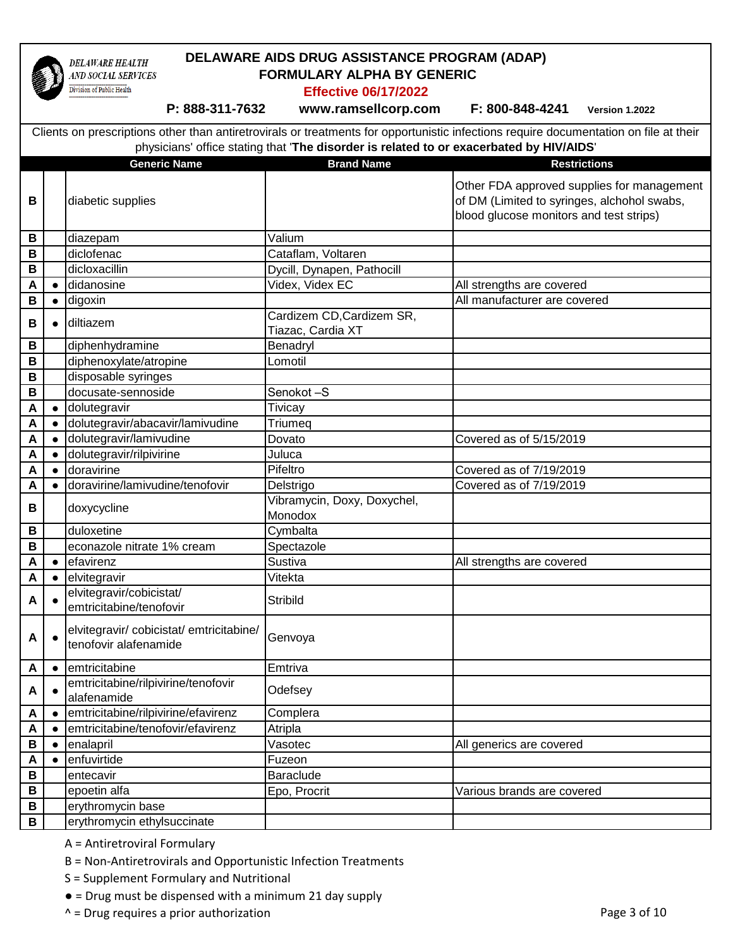

## **DELAWARE AIDS DRUG ASSISTANCE PROGRAM (ADAP) FORMULARY ALPHA BY GENERIC**

**Effective 06/17/2022**

 **P: 888-311-7632 www.ramsellcorp.com F: 800-848-4241 Version 1.2022** 

|                  |            | <b>Generic Name</b>                                             | <b>Brand Name</b>                              | <b>Restrictions</b>                                                                                                                  |
|------------------|------------|-----------------------------------------------------------------|------------------------------------------------|--------------------------------------------------------------------------------------------------------------------------------------|
| В                |            | diabetic supplies                                               |                                                | Other FDA approved supplies for management<br>of DM (Limited to syringes, alchohol swabs,<br>blood glucose monitors and test strips) |
| B                |            | diazepam                                                        | Valium                                         |                                                                                                                                      |
| B                |            | diclofenac                                                      | Cataflam, Voltaren                             |                                                                                                                                      |
| В                |            | dicloxacillin                                                   | Dycill, Dynapen, Pathocill                     |                                                                                                                                      |
| A                | $\bullet$  | didanosine                                                      | Videx, Videx EC                                | All strengths are covered                                                                                                            |
| $\, {\bf B}$     | $\bullet$  | digoxin                                                         |                                                | All manufacturer are covered                                                                                                         |
| В                | $\bullet$  | diltiazem                                                       | Cardizem CD, Cardizem SR,<br>Tiazac, Cardia XT |                                                                                                                                      |
| В                |            | diphenhydramine                                                 | Benadryl                                       |                                                                                                                                      |
| B                |            | diphenoxylate/atropine                                          | Lomotil                                        |                                                                                                                                      |
| B                |            | disposable syringes                                             |                                                |                                                                                                                                      |
| B                |            | docusate-sennoside                                              | Senokot-S                                      |                                                                                                                                      |
| A                | $\bullet$  | dolutegravir                                                    | Tivicay                                        |                                                                                                                                      |
| A                | $\bullet$  | dolutegravir/abacavir/lamivudine                                | Triumeq                                        |                                                                                                                                      |
| A                | $\bullet$  | dolutegravir/lamivudine                                         | Dovato                                         | Covered as of 5/15/2019                                                                                                              |
| A                | $\bullet$  | dolutegravir/rilpivirine                                        | Juluca                                         |                                                                                                                                      |
| A                |            | doravirine                                                      | Pifeltro                                       | Covered as of 7/19/2019                                                                                                              |
| A                | $\bullet$  | doravirine/lamivudine/tenofovir                                 | Delstrigo                                      | Covered as of 7/19/2019                                                                                                              |
| В                |            | doxycycline                                                     | Vibramycin, Doxy, Doxychel,<br>Monodox         |                                                                                                                                      |
| B                |            | duloxetine                                                      | Cymbalta                                       |                                                                                                                                      |
| В                |            | econazole nitrate 1% cream                                      | Spectazole                                     |                                                                                                                                      |
| A                | $\bullet$  | efavirenz                                                       | Sustiva                                        | All strengths are covered                                                                                                            |
| A                | $\bullet$  | elvitegravir                                                    | Vitekta                                        |                                                                                                                                      |
| A                |            | elvitegravir/cobicistat/                                        | Stribild                                       |                                                                                                                                      |
|                  |            | emtricitabine/tenofovir                                         |                                                |                                                                                                                                      |
| A                | $\epsilon$ | elvitegravir/cobicistat/emtricitabine/<br>tenofovir alafenamide | Genvoya                                        |                                                                                                                                      |
| A                | $\bullet$  | emtricitabine                                                   | Emtriva                                        |                                                                                                                                      |
| A                | $\bullet$  | emtricitabine/rilpivirine/tenofovir<br>alafenamide              | Odefsey                                        |                                                                                                                                      |
| A                | $\bullet$  | emtricitabine/rilpivirine/efavirenz                             | Complera                                       |                                                                                                                                      |
| $\blacktriangle$ |            | emtricitabine/tenofovir/efavirenz                               | Atripla                                        |                                                                                                                                      |
| B                | $\bullet$  | enalapril                                                       | Vasotec                                        | All generics are covered                                                                                                             |
| A                |            | enfuvirtide                                                     | Fuzeon                                         |                                                                                                                                      |
| B                |            | entecavir                                                       | Baraclude                                      |                                                                                                                                      |
| B                |            | epoetin alfa                                                    | Epo, Procrit                                   | Various brands are covered                                                                                                           |
| В                |            | erythromycin base                                               |                                                |                                                                                                                                      |
| $\, {\bf B}$     |            | erythromycin ethylsuccinate                                     |                                                |                                                                                                                                      |

- A = Antiretroviral Formulary
- B = Non-Antiretrovirals and Opportunistic Infection Treatments
- S = Supplement Formulary and Nutritional
- = Drug must be dispensed with a minimum 21 day supply
- $\wedge$  = Drug requires a prior authorization  $\wedge$  =  $\wedge$  Page 3 of 10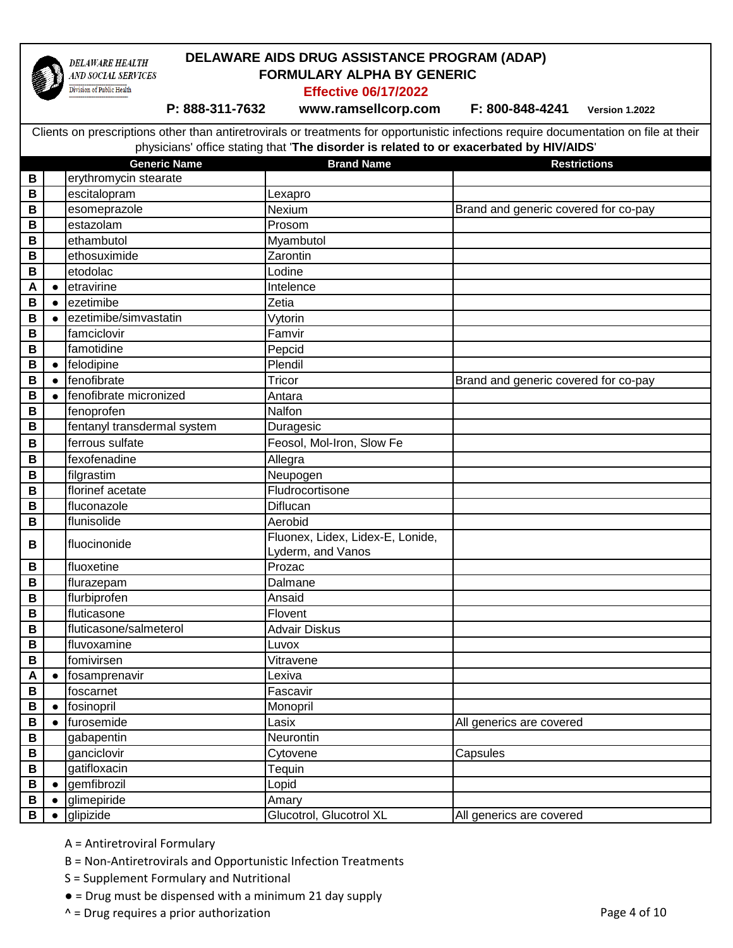

### **DELAWARE AIDS DRUG ASSISTANCE PROGRAM (ADAP) FORMULARY ALPHA BY GENERIC**

**Effective 06/17/2022**

 **P: 888-311-7632 www.ramsellcorp.com F: 800-848-4241 Version 1.2022** 

**Generic Name Brand Name Brand Name Restrictions** Clients on prescriptions other than antiretrovirals or treatments for opportunistic infections require documentation on file at their physicians' office stating that '**The disorder is related to or exacerbated by HIV/AIDS**' **B** erythromycin stearate **B** escitalopram Lexapro **B** esomeprazole **Rexister Access** Nexium **B** essential Brand and generic covered for co-pay **B** estazolam **Prosom B** ethambutol Myambutol **B** ethosuximide **Zarontin B** etodolac Lodine **A ●** etravirine Intelence **B** e ezetimibe Zetia **B** e ezetimibe/simvastatin Vytorin **B** famciclovir Famvir **B** famotidine **Pepcid B e** felodipine Plendil **B**  $\bullet$  fenofibrate **EXECUTE:** Tricor **Brand and generic covered for co-pay B**  $\bullet$  fenofibrate micronized Antara **B** Fenoprofen Nalfon **B** Fentanyl transdermal system **Duragesic B** Feosol, Mol-Iron, Slow Fe **B** | fexofenadine  $\qquad$  | Allegra **B** filgrastim Neupogen **B florinef** acetate **Fludrocortisone B I** fluconazole **Diflucan B I** flunisolide **A Aerobid B** fluocinonide **Fluonex, Lidex, Lidex-E, Lonide,** Lyderm, and Vanos **B** fluoxetine **Prozac B** flurazepam Dalmane **B** flurbiprofen Ansaid **B** fluticasone Flovent **B** | fluticasone/salmeterol | Advair Diskus **B** fluvoxamine Luvox **B i** fomivirsen **Vitravene A │ ●** fosamprenavir Lexiva **B foscarnet Fascavir B ●** fosinopril Monopril **B e** furosemide **All generics** are covered **B** gabapentin Neurontin **B** ganciclovir Cytovene Cytovene Capsules **B** gatifloxacin Tequin **B e** gemfibrozil **Lopid** 

- A = Antiretroviral Formulary
- B = Non-Antiretrovirals and Opportunistic Infection Treatments

**B e** glipizide **Glucotrol, Glucotrol XL** All generics are covered

- S = Supplement Formulary and Nutritional
- $\bullet$  = Drug must be dispensed with a minimum 21 day supply
- $\wedge$  = Drug requires a prior authorization **Page 4 of 10**  $\wedge$  =  $\wedge$  Page 4 of 10

**B e** glimepiride **Amary**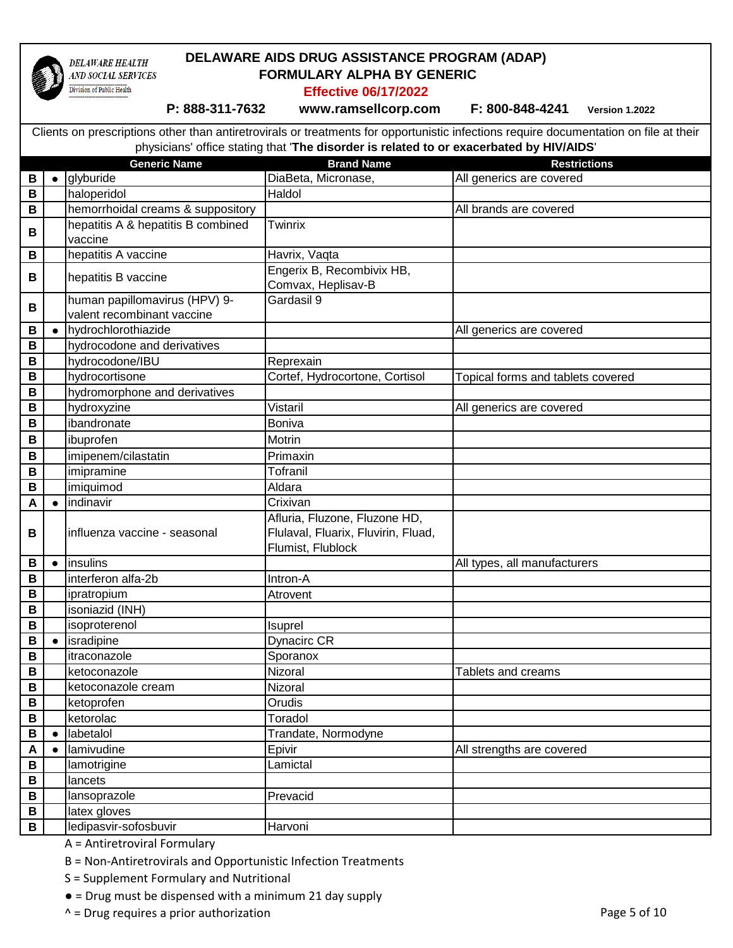

### **DELAWARE AIDS DRUG ASSISTANCE PROGRAM (ADAP) FORMULARY ALPHA BY GENERIC**

**Effective 06/17/2022**

 **P: 888-311-7632 www.ramsellcorp.com F: 800-848-4241 Version 1.2022** 

**Generic Name Brand Name Brand Name Restrictions** Clients on prescriptions other than antiretrovirals or treatments for opportunistic infections require documentation on file at their physicians' office stating that '**The disorder is related to or exacerbated by HIV/AIDS**' **B e** glyburide **B DiaBeta, Micronase,** All generics are covered **B** haloperidol Haldol **B** hemorrhoidal creams & suppository All brands are covered **B** hepatitis A & hepatitis B combined vaccine **Twinrix B** | | | hepatitis A vaccine | Havrix, Vaqta **B** hepatitis B vaccine **Engerix B, Recombivix HB,** Comvax, Heplisav-B **B** human papillomavirus (HPV) 9 valent recombinant vaccine Gardasil 9 **B**  $\bullet$  **hydrochlorothiazide** All generics are covered **B hydrocodone** and derivatives **B** hydrocodone/IBU Reprexain **B** hydrocortisone **Cortef, Hydrocortone, Cortisol** Topical forms and tablets covered **B** | hydromorphone and derivatives **B** hydroxyzine **All generics** are covered Vistaril **All generics** are covered **B** ibandronate Boniva **B** ibuprofen Motrin **B** | imipenem/cilastatin | Primaxin **B** imipramine Tofranil **B** imiquimod Aldara **A ● lindinavir** Crixivan **B i**nfluenza vaccine - seasonal Afluria, Fluzone, Fluzone HD, Flulaval, Fluarix, Fluvirin, Fluad, Flumist, Flublock **B e** insulins **All types**, all manufacturers **All types**, all manufacturers **B** interferon alfa-2b Intron-A **B** ipratropium Atrovent **B i** isoniazid (INH) **B** isoproterenol isuprel **B e** lisradipine **Dynacirc CR B** itraconazole Sporanox **B** ketoconazole **Nizoral** Nizoral Nizoral Tablets and creams **B** | ketoconazole cream | Nizoral **B** ketoprofen **B** Orudis **B** ketorolac Toradol **B ●** labetalol Trandate, Normodyne **A e** lamivudine **All strengths are covered** Epivir **All strengths are covered B** | lamotrigine | Lamictal **B** lancets **B** lansoprazole **Prevacid B l** latex gloves

A = Antiretroviral Formulary

B = Non-Antiretrovirals and Opportunistic Infection Treatments

S = Supplement Formulary and Nutritional

 $\bullet$  = Drug must be dispensed with a minimum 21 day supply

 $^{\wedge}$  = Drug requires a prior authorization **Page 5 of 10** 

**B** | ledipasvir-sofosbuvir | Harvoni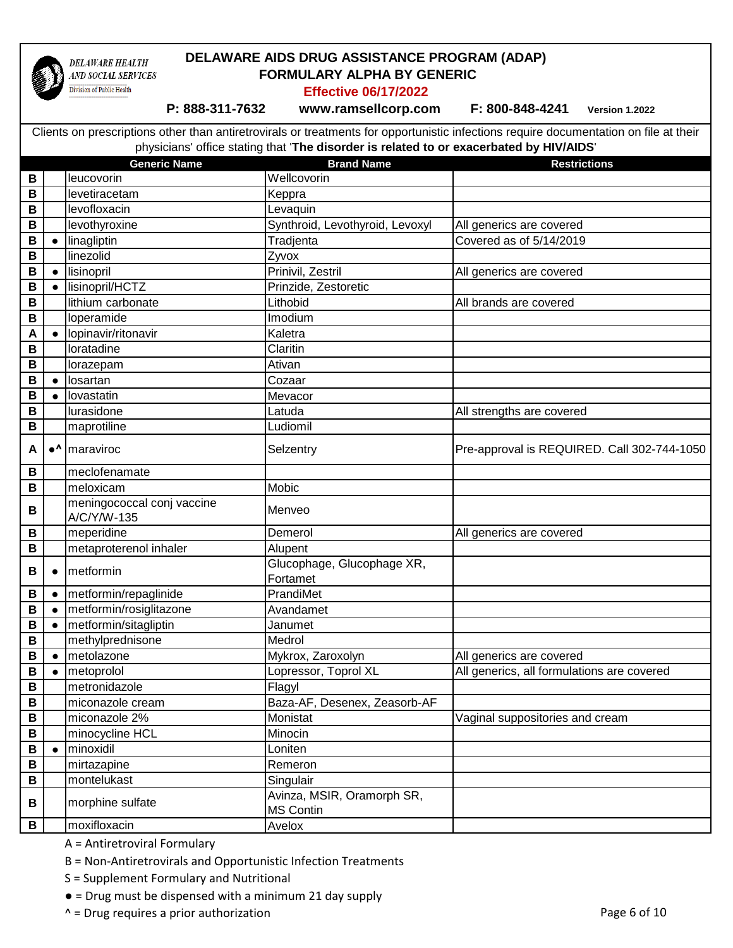

### **DELAWARE AIDS DRUG ASSISTANCE PROGRAM (ADAP) FORMULARY ALPHA BY GENERIC**

**Effective 06/17/2022**

 **P: 888-311-7632 www.ramsellcorp.com F: 800-848-4241 Version 1.2022** 

|              |                        | <b>Generic Name</b>                       | <b>Brand Name</b>               | <b>Restrictions</b>                         |
|--------------|------------------------|-------------------------------------------|---------------------------------|---------------------------------------------|
| B            |                        | leucovorin                                | Wellcovorin                     |                                             |
| B            |                        | levetiracetam                             | Keppra                          |                                             |
| B            |                        | levofloxacin                              | Levaquin                        |                                             |
| B            |                        | levothyroxine                             | Synthroid, Levothyroid, Levoxyl | All generics are covered                    |
| B            | $\bullet$              | linagliptin                               | Tradjenta                       | Covered as of 5/14/2019                     |
| B            |                        | linezolid                                 | Zyvox                           |                                             |
| B            | $\bullet$              | lisinopril                                | Prinivil, Zestril               | All generics are covered                    |
| B            | $\bullet$              | lisinopril/HCTZ                           | Prinzide, Zestoretic            |                                             |
| $\mathsf B$  |                        | lithium carbonate                         | Lithobid                        | All brands are covered                      |
| B            |                        | loperamide                                | Imodium                         |                                             |
| A            | $\bullet$              | lopinavir/ritonavir                       | Kaletra                         |                                             |
| $\, {\bf B}$ |                        | loratadine                                | Claritin                        |                                             |
| B            |                        | lorazepam                                 | Ativan                          |                                             |
| B            | $\bullet$              | losartan                                  | Cozaar                          |                                             |
| B            | $\bullet$              | lovastatin                                | Mevacor                         |                                             |
| B            |                        | lurasidone                                | Latuda                          | All strengths are covered                   |
| В            |                        | maprotiline                               | Ludiomil                        |                                             |
| A            | $\bullet^{\Lambda}$    | maraviroc                                 | Selzentry                       | Pre-approval is REQUIRED. Call 302-744-1050 |
|              |                        |                                           |                                 |                                             |
| B            |                        | meclofenamate                             |                                 |                                             |
| B            |                        | meloxicam                                 | Mobic                           |                                             |
| B            |                        | meningococcal conj vaccine<br>A/C/Y/W-135 | Menveo                          |                                             |
| B            |                        | meperidine                                | Demerol                         | All generics are covered                    |
| В            |                        | metaproterenol inhaler                    | Alupent                         |                                             |
| B            | $\bullet$              | metformin                                 | Glucophage, Glucophage XR,      |                                             |
|              |                        | metformin/repaglinide                     | Fortamet<br>PrandiMet           |                                             |
| B            | $\bullet$              | metformin/rosiglitazone                   |                                 |                                             |
| B<br>B       | $\bullet$<br>$\bullet$ | metformin/sitagliptin                     | Avandamet<br>Janumet            |                                             |
| B            |                        |                                           | Medrol                          |                                             |
| B            | $\bullet$              | methylprednisone<br>metolazone            | Mykrox, Zaroxolyn               | All generics are covered                    |
| B            |                        | metoprolol                                | Lopressor, Toprol XL            | All generics, all formulations are covered  |
| B            |                        | metronidazole                             | Flagyl                          |                                             |
| B            |                        | miconazole cream                          | Baza-AF, Desenex, Zeasorb-AF    |                                             |
| B            |                        | miconazole 2%                             | Monistat                        | Vaginal suppositories and cream             |
| B            |                        | minocycline HCL                           | Minocin                         |                                             |
| B            | $\bullet$              | minoxidil                                 | Loniten                         |                                             |
| В            |                        | mirtazapine                               | Remeron                         |                                             |
| B            |                        | montelukast                               | Singulair                       |                                             |
|              |                        |                                           | Avinza, MSIR, Oramorph SR,      |                                             |
| В            |                        | morphine sulfate                          | MS Contin                       |                                             |
| B            |                        | moxifloxacin                              | Avelox                          |                                             |

- A = Antiretroviral Formulary
- B = Non-Antiretrovirals and Opportunistic Infection Treatments
- S = Supplement Formulary and Nutritional
- = Drug must be dispensed with a minimum 21 day supply
- $^{\wedge}$  = Drug requires a prior authorization  $^{\wedge}$  =  $^{\wedge}$  Page 6 of 10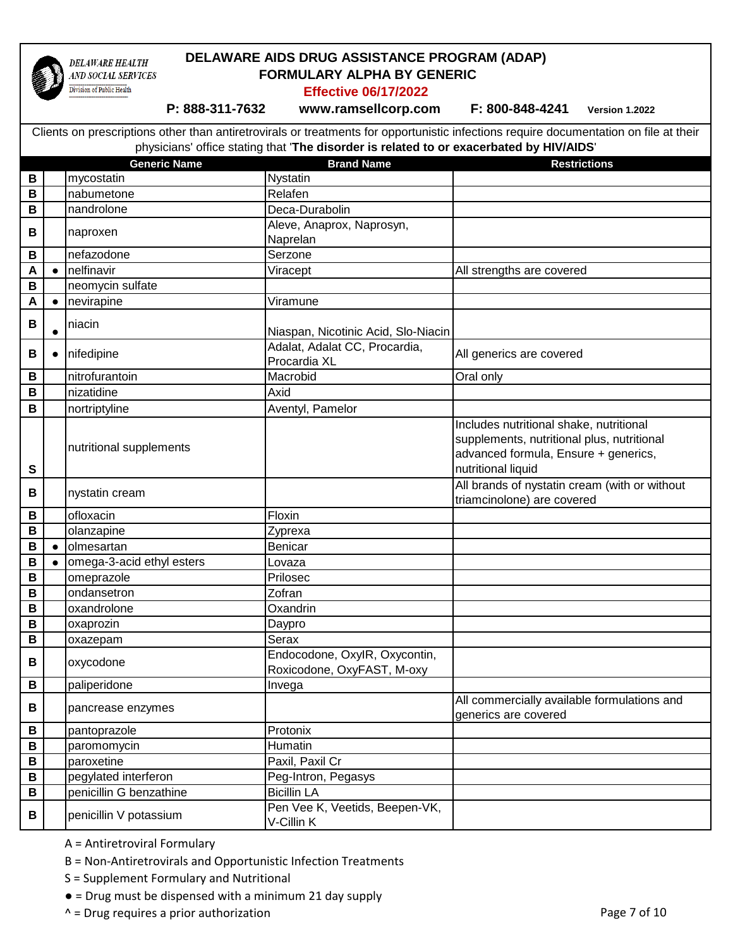

# **DELAWARE AIDS DRUG ASSISTANCE PROGRAM (ADAP) FORMULARY ALPHA BY GENERIC**

**Effective 06/17/2022**

 **P: 888-311-7632 www.ramsellcorp.com F: 800-848-4241 Version 1.2022** 

| $\, {\bf B}$ |            | яюн ганн<br>mycostatin    | סוומות מופוט<br>Nystatin                                    | noon ivuund                                                                                                                                         |
|--------------|------------|---------------------------|-------------------------------------------------------------|-----------------------------------------------------------------------------------------------------------------------------------------------------|
| $\mathbf B$  |            | nabumetone                | Relafen                                                     |                                                                                                                                                     |
| $\, {\bf B}$ |            | nandrolone                | Deca-Durabolin                                              |                                                                                                                                                     |
|              |            |                           | Aleve, Anaprox, Naprosyn,                                   |                                                                                                                                                     |
| B            |            | naproxen                  | Naprelan                                                    |                                                                                                                                                     |
| B            |            | nefazodone                | Serzone                                                     |                                                                                                                                                     |
| A            | $\bullet$  | nelfinavir                | Viracept                                                    | All strengths are covered                                                                                                                           |
| $\, {\bf B}$ |            | neomycin sulfate          |                                                             |                                                                                                                                                     |
| A            | $\bullet$  | nevirapine                | Viramune                                                    |                                                                                                                                                     |
| B            | $\bullet$  | niacin                    | Niaspan, Nicotinic Acid, Slo-Niacin                         |                                                                                                                                                     |
| B            |            | nifedipine                | Adalat, Adalat CC, Procardia,<br>Procardia XL               | All generics are covered                                                                                                                            |
| B            |            | nitrofurantoin            | Macrobid                                                    | Oral only                                                                                                                                           |
| B            |            | nizatidine                | Axid                                                        |                                                                                                                                                     |
| B            |            | nortriptyline             | Aventyl, Pamelor                                            |                                                                                                                                                     |
| $\mathbf s$  |            | nutritional supplements   |                                                             | Includes nutritional shake, nutritional<br>supplements, nutritional plus, nutritional<br>advanced formula, Ensure + generics,<br>nutritional liquid |
| B            |            | nystatin cream            |                                                             | All brands of nystatin cream (with or without<br>triamcinolone) are covered                                                                         |
| B            |            | ofloxacin                 | Floxin                                                      |                                                                                                                                                     |
| $\mathbf B$  |            | olanzapine                | Zyprexa                                                     |                                                                                                                                                     |
| B            | $\epsilon$ | olmesartan                | Benicar                                                     |                                                                                                                                                     |
| B            |            | omega-3-acid ethyl esters | Lovaza                                                      |                                                                                                                                                     |
| $\mathbf B$  |            | omeprazole                | Prilosec                                                    |                                                                                                                                                     |
| $\, {\bf B}$ |            | ondansetron               | Zofran                                                      |                                                                                                                                                     |
| B            |            | oxandrolone               | Oxandrin                                                    |                                                                                                                                                     |
| $\mathbf B$  |            | oxaprozin                 | Daypro                                                      |                                                                                                                                                     |
| $\mathbf B$  |            | oxazepam                  | Serax                                                       |                                                                                                                                                     |
| B            |            | oxycodone                 | Endocodone, OxylR, Oxycontin,<br>Roxicodone, OxyFAST, M-oxy |                                                                                                                                                     |
| B            |            | paliperidone              | Invega                                                      |                                                                                                                                                     |
| В            |            | pancrease enzymes         |                                                             | All commercially available formulations and<br>generics are covered                                                                                 |
| B            |            | pantoprazole              | Protonix                                                    |                                                                                                                                                     |
| В            |            | paromomycin               | Humatin                                                     |                                                                                                                                                     |
| B            |            | paroxetine                | Paxil, Paxil Cr                                             |                                                                                                                                                     |
| B            |            | pegylated interferon      | Peg-Intron, Pegasys                                         |                                                                                                                                                     |
| B            |            | penicillin G benzathine   | <b>Bicillin LA</b>                                          |                                                                                                                                                     |
| В            |            | penicillin V potassium    | Pen Vee K, Veetids, Beepen-VK,<br>V-Cillin K                |                                                                                                                                                     |

- A = Antiretroviral Formulary
- B = Non-Antiretrovirals and Opportunistic Infection Treatments
- S = Supplement Formulary and Nutritional
- = Drug must be dispensed with a minimum 21 day supply
- $^{\wedge}$  = Drug requires a prior authorization  $^{\wedge}$  =  $^{\wedge}$  Page 7 of 10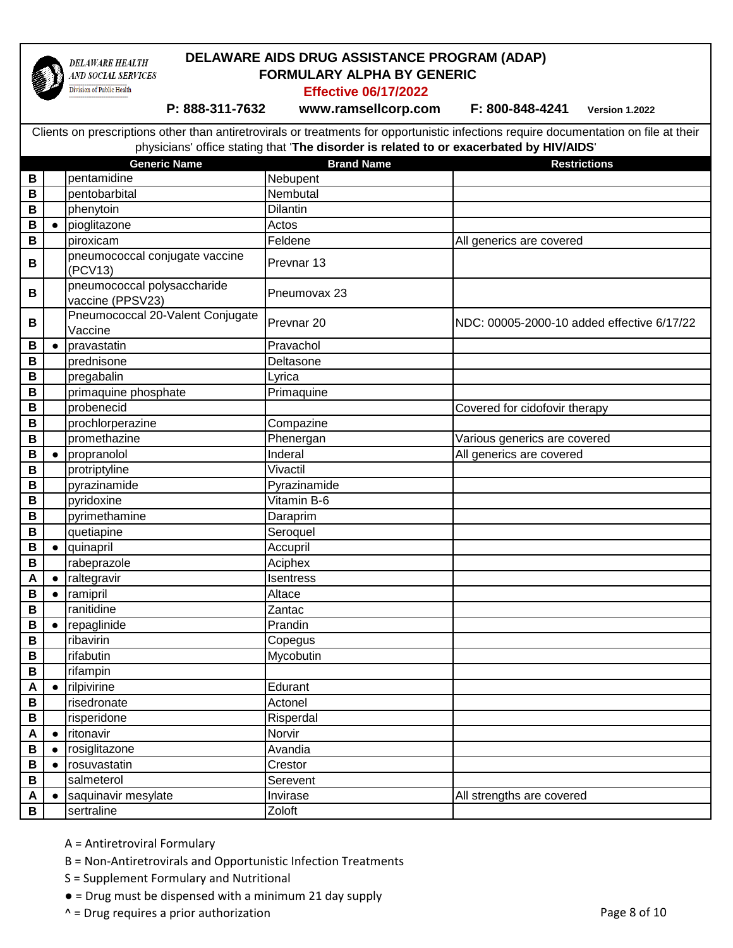

### **DELAWARE AIDS DRUG ASSISTANCE PROGRAM (ADAP) FORMULARY ALPHA BY GENERIC**

**Effective 06/17/2022**

 **P: 888-311-7632 www.ramsellcorp.com F: 800-848-4241 Version 1.2022** 

|                  |            | <b>Generic Name</b>                             | <b>Brand Name</b>     | <b>Restrictions</b>                        |
|------------------|------------|-------------------------------------------------|-----------------------|--------------------------------------------|
| B                |            | pentamidine                                     | Nebupent              |                                            |
| B                |            | pentobarbital                                   | Nembutal              |                                            |
| B                |            | phenytoin                                       | Dilantin              |                                            |
| B                | $\bullet$  | pioglitazone                                    | Actos                 |                                            |
| B                |            | piroxicam                                       | Feldene               | All generics are covered                   |
| B                |            | pneumococcal conjugate vaccine<br>(PCV13)       | Prevnar <sub>13</sub> |                                            |
| B                |            | pneumococcal polysaccharide<br>vaccine (PPSV23) | Pneumovax 23          |                                            |
| В                |            | Pneumococcal 20-Valent Conjugate<br>Vaccine     | Prevnar <sub>20</sub> | NDC: 00005-2000-10 added effective 6/17/22 |
| В                | $\bullet$  | pravastatin                                     | Pravachol             |                                            |
| $\, {\bf B}$     |            | prednisone                                      | Deltasone             |                                            |
| $\, {\bf B}$     |            | pregabalin                                      | Lyrica                |                                            |
| B                |            | primaquine phosphate                            | Primaquine            |                                            |
| B                |            | probenecid                                      |                       | Covered for cidofovir therapy              |
| B                |            | prochlorperazine                                | Compazine             |                                            |
| В                |            | promethazine                                    | Phenergan             | Various generics are covered               |
| B                | $\epsilon$ | propranolol                                     | Inderal               | All generics are covered                   |
| B                |            | protriptyline                                   | Vivactil              |                                            |
| В                |            | pyrazinamide                                    | Pyrazinamide          |                                            |
| B                |            | pyridoxine                                      | Vitamin B-6           |                                            |
| B                |            | pyrimethamine                                   | Daraprim              |                                            |
| В                |            | quetiapine                                      | Seroquel              |                                            |
| B                | $\bullet$  | quinapril                                       | Accupril              |                                            |
| B                |            | rabeprazole                                     | Aciphex               |                                            |
| A                | $\bullet$  | raltegravir                                     | Isentress             |                                            |
| B                | $\bullet$  | ramipril                                        | Altace                |                                            |
| B                |            | ranitidine                                      | Zantac                |                                            |
| B                | $\bullet$  | repaglinide                                     | Prandin               |                                            |
| B                |            | ribavirin                                       | Copegus               |                                            |
| В                |            | rifabutin                                       | Mycobutin             |                                            |
| B                |            | rifampin                                        |                       |                                            |
| A                | $\bullet$  | rilpivirine                                     | Edurant               |                                            |
| В                |            | risedronate                                     | Actonel               |                                            |
| B                |            | risperidone                                     | Risperdal             |                                            |
| A                | $\bullet$  | ritonavir                                       | Norvir                |                                            |
| $\, {\bf B}$     |            | rosiglitazone                                   | Avandia               |                                            |
| B                | $\bullet$  | rosuvastatin                                    | Crestor               |                                            |
| B                |            | salmeterol                                      | Serevent              |                                            |
| $\blacktriangle$ | $\bullet$  | saquinavir mesylate                             | Invirase              | All strengths are covered                  |
| B                |            | sertraline                                      | Zoloft                |                                            |

- A = Antiretroviral Formulary
- B = Non-Antiretrovirals and Opportunistic Infection Treatments
- S = Supplement Formulary and Nutritional
- = Drug must be dispensed with a minimum 21 day supply
- $\wedge$  = Drug requires a prior authorization  $\wedge$  =  $\wedge$  Page 8 of 10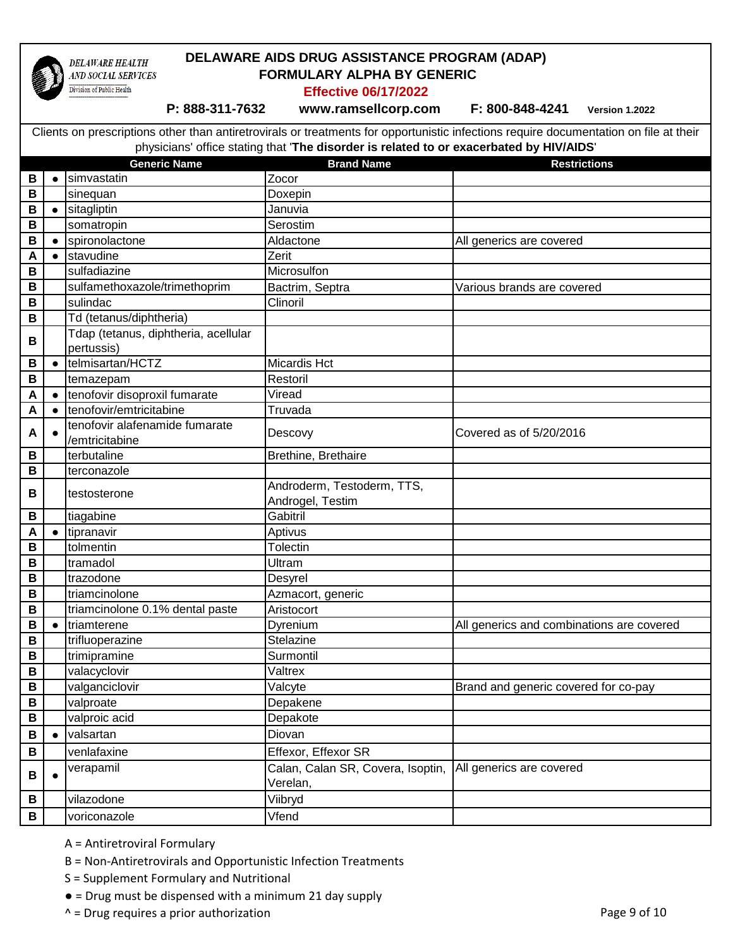

### **DELAWARE AIDS DRUG ASSISTANCE PROGRAM (ADAP) FORMULARY ALPHA BY GENERIC**

**Effective 06/17/2022**

 **P: 888-311-7632 www.ramsellcorp.com F: 800-848-4241 Version 1.2022** 

|              |           | <b>Generic Name</b>                                | <b>Brand Name</b>                 | <b>Restrictions</b>                       |
|--------------|-----------|----------------------------------------------------|-----------------------------------|-------------------------------------------|
| B            | $\bullet$ | simvastatin                                        | Zocor                             |                                           |
| B            |           | sinequan                                           | Doxepin                           |                                           |
| B            | $\bullet$ | sitagliptin                                        | Januvia                           |                                           |
| В            |           | somatropin                                         | Serostim                          |                                           |
| B            | C         | spironolactone                                     | Aldactone                         | All generics are covered                  |
| A            | $\bullet$ | stavudine                                          | Zerit                             |                                           |
| B            |           | sulfadiazine                                       | Microsulfon                       |                                           |
| B            |           | sulfamethoxazole/trimethoprim                      | Bactrim, Septra                   | Various brands are covered                |
| $\mathbf B$  |           | sulindac                                           | Clinoril                          |                                           |
| B            |           | Td (tetanus/diphtheria)                            |                                   |                                           |
| B            |           | Tdap (tetanus, diphtheria, acellular<br>pertussis) |                                   |                                           |
| B            | $\bullet$ | telmisartan/HCTZ                                   | <b>Micardis Hct</b>               |                                           |
| B            |           | temazepam                                          | Restoril                          |                                           |
| A            | $\bullet$ | tenofovir disoproxil fumarate                      | Viread                            |                                           |
| A            | $\bullet$ | tenofovir/emtricitabine                            | Truvada                           |                                           |
| A            |           | tenofovir alafenamide fumarate                     | Descovy                           | Covered as of 5/20/2016                   |
| B            |           | /emtricitabine<br>terbutaline                      | Brethine, Brethaire               |                                           |
| B            |           | terconazole                                        |                                   |                                           |
|              |           |                                                    | Androderm, Testoderm, TTS,        |                                           |
| B            |           | testosterone                                       | Androgel, Testim                  |                                           |
| B            |           | tiagabine                                          | Gabitril                          |                                           |
| A            | $\bullet$ | tipranavir                                         | Aptivus                           |                                           |
| B            |           | tolmentin                                          | <b>Tolectin</b>                   |                                           |
| B            |           | tramadol                                           | Ultram                            |                                           |
| B            |           | trazodone                                          | Desyrel                           |                                           |
| $\mathsf B$  |           | triamcinolone                                      | Azmacort, generic                 |                                           |
| В            |           | triamcinolone 0.1% dental paste                    | Aristocort                        |                                           |
| B            | $\bullet$ | triamterene                                        | Dyrenium                          | All generics and combinations are covered |
| B            |           | trifluoperazine                                    | Stelazine                         |                                           |
| В            |           | trimipramine                                       | Surmontil                         |                                           |
| B            |           | valacyclovir                                       | Valtrex                           |                                           |
| B            |           | valganciclovir                                     | Valcyte                           | Brand and generic covered for co-pay      |
| $\, {\bf B}$ |           | valproate                                          | Depakene                          |                                           |
| В            |           | valproic acid                                      | Depakote                          |                                           |
| B            | $\bullet$ | valsartan                                          | Diovan                            |                                           |
| B            |           | venlafaxine                                        | Effexor, Effexor SR               |                                           |
| B            |           | verapamil                                          | Calan, Calan SR, Covera, Isoptin, | All generics are covered                  |
|              |           |                                                    | Verelan,                          |                                           |
| B            |           | vilazodone                                         | Viibryd                           |                                           |
| B            |           | voriconazole                                       | Vfend                             |                                           |

- A = Antiretroviral Formulary
- B = Non-Antiretrovirals and Opportunistic Infection Treatments
- S = Supplement Formulary and Nutritional
- = Drug must be dispensed with a minimum 21 day supply
- $\wedge$  = Drug requires a prior authorization  $\wedge$  =  $\wedge$  Page 9 of 10